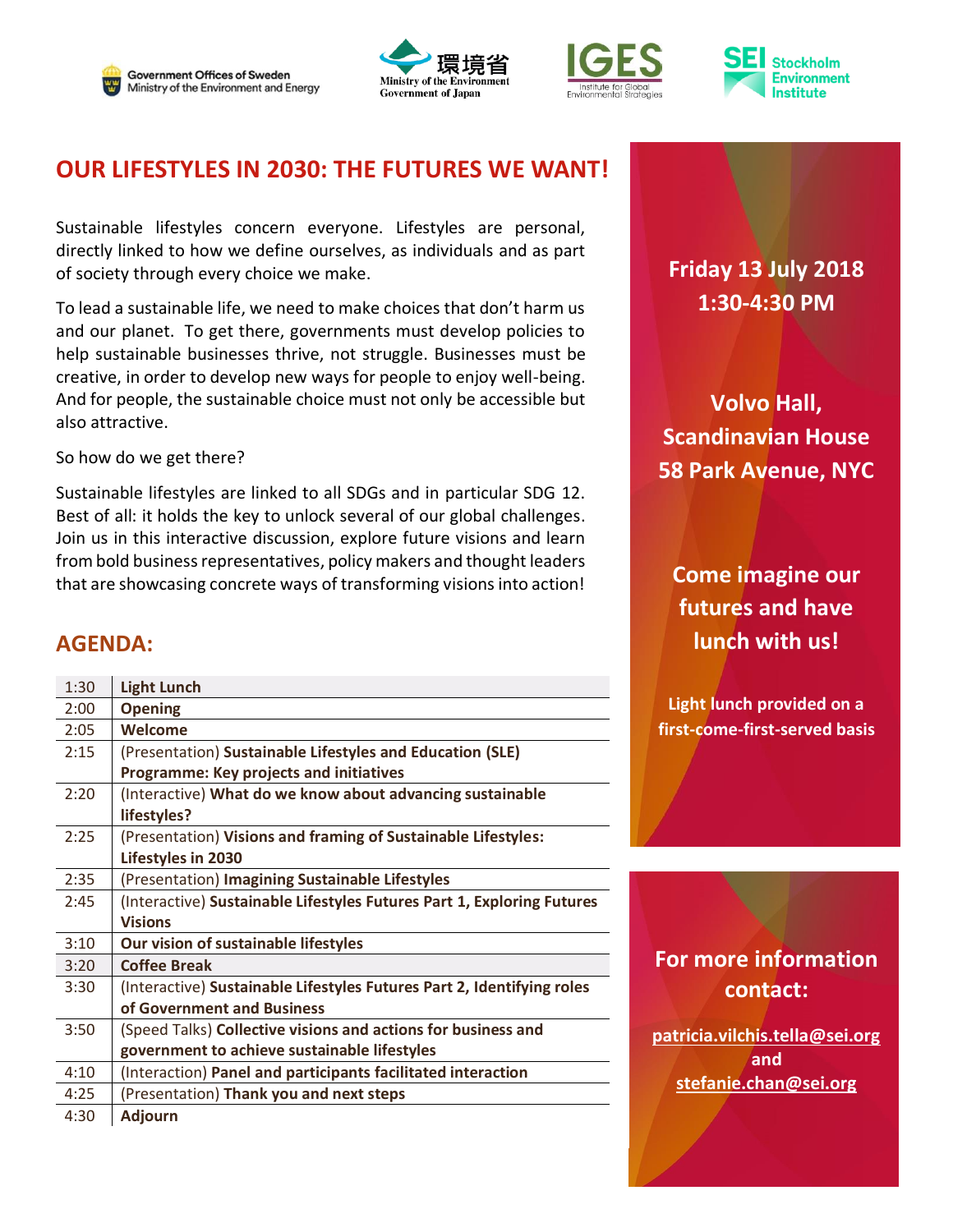







## **OUR LIFESTYLES IN 2030: THE FUTURES WE WANT!**

Sustainable lifestyles concern everyone. Lifestyles are personal, directly linked to how we define ourselves, as individuals and as part of society through every choice we make.

To lead a sustainable life, we need to make choices that don't harm us and our planet. To get there, governments must develop policies to help sustainable businesses thrive, not struggle. Businesses must be creative, in order to develop new ways for people to enjoy well-being. And for people, the sustainable choice must not only be accessible but also attractive.

So how do we get there?

Sustainable lifestyles are linked to all SDGs and in particular SDG 12. Best of all: it holds the key to unlock several of our global challenges. Join us in this interactive discussion, explore future visions and learn from bold business representatives, policy makers and thought leaders that are showcasing concrete ways of transforming visions into action!

#### **AGENDA:**

| 1:30 | <b>Light Lunch</b>                                                     |
|------|------------------------------------------------------------------------|
| 2:00 | <b>Opening</b>                                                         |
| 2:05 | Welcome                                                                |
| 2:15 | (Presentation) Sustainable Lifestyles and Education (SLE)              |
|      | <b>Programme: Key projects and initiatives</b>                         |
| 2:20 | (Interactive) What do we know about advancing sustainable              |
|      | lifestyles?                                                            |
| 2:25 | (Presentation) Visions and framing of Sustainable Lifestyles:          |
|      | Lifestyles in 2030                                                     |
| 2:35 | (Presentation) Imagining Sustainable Lifestyles                        |
| 2:45 | (Interactive) Sustainable Lifestyles Futures Part 1, Exploring Futures |
|      | <b>Visions</b>                                                         |
| 3:10 | Our vision of sustainable lifestyles                                   |
| 3:20 | <b>Coffee Break</b>                                                    |
| 3:30 | (Interactive) Sustainable Lifestyles Futures Part 2, Identifying roles |
|      | of Government and Business                                             |
| 3:50 | (Speed Talks) Collective visions and actions for business and          |
|      | government to achieve sustainable lifestyles                           |
| 4:10 | (Interaction) Panel and participants facilitated interaction           |
| 4:25 | (Presentation) Thank you and next steps                                |
| 4:30 | <b>Adjourn</b>                                                         |

# **Friday 13 July 2018 1:30-4:30 PM**

**Volvo Hall, Scandinavian House 58 Park Avenue, NYC**

**Come imagine our futures and have lunch with us!**

**Light lunch provided on a first-come-first-served basis**

### **For more information contact:**

**[patricia.vilchis.tella@sei.org](mailto:patricia.vilchis.tella@sei.org) and [stefanie.chan@sei.org](mailto:stefanie.chan@sei.org)**